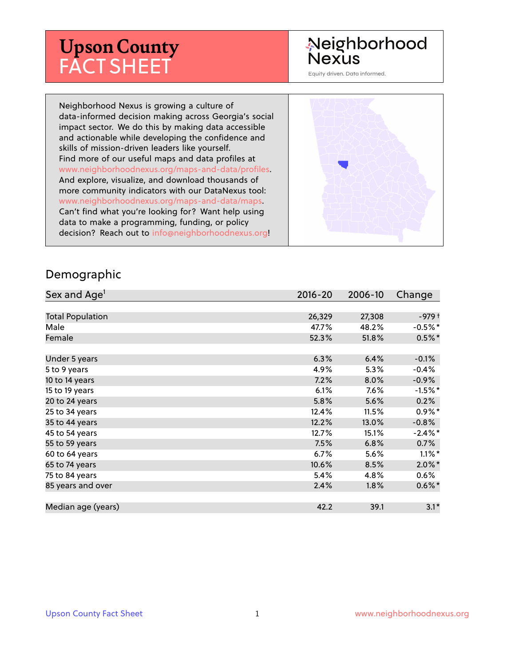# **Upson County** FACT SHEET

#### Neighborhood **Nexus**

Equity driven. Data informed.

Neighborhood Nexus is growing a culture of data-informed decision making across Georgia's social impact sector. We do this by making data accessible and actionable while developing the confidence and skills of mission-driven leaders like yourself. Find more of our useful maps and data profiles at www.neighborhoodnexus.org/maps-and-data/profiles. And explore, visualize, and download thousands of more community indicators with our DataNexus tool: www.neighborhoodnexus.org/maps-and-data/maps. Can't find what you're looking for? Want help using data to make a programming, funding, or policy decision? Reach out to [info@neighborhoodnexus.org!](mailto:info@neighborhoodnexus.org)



#### Demographic

| Sex and Age <sup>1</sup> | $2016 - 20$ | 2006-10 | Change     |
|--------------------------|-------------|---------|------------|
|                          |             |         |            |
| <b>Total Population</b>  | 26,329      | 27,308  | -979 †     |
| Male                     | 47.7%       | 48.2%   | $-0.5\%$ * |
| Female                   | 52.3%       | 51.8%   | $0.5%$ *   |
|                          |             |         |            |
| Under 5 years            | 6.3%        | 6.4%    | $-0.1%$    |
| 5 to 9 years             | 4.9%        | $5.3\%$ | $-0.4%$    |
| 10 to 14 years           | 7.2%        | 8.0%    | $-0.9\%$   |
| 15 to 19 years           | 6.1%        | 7.6%    | $-1.5%$ *  |
| 20 to 24 years           | 5.8%        | 5.6%    | 0.2%       |
| 25 to 34 years           | 12.4%       | 11.5%   | $0.9%$ *   |
| 35 to 44 years           | 12.2%       | 13.0%   | $-0.8%$    |
| 45 to 54 years           | 12.7%       | 15.1%   | $-2.4\%$ * |
| 55 to 59 years           | 7.5%        | 6.8%    | 0.7%       |
| 60 to 64 years           | $6.7\%$     | 5.6%    | $1.1\%$ *  |
| 65 to 74 years           | 10.6%       | 8.5%    | $2.0\%$ *  |
| 75 to 84 years           | 5.4%        | 4.8%    | $0.6\%$    |
| 85 years and over        | 2.4%        | $1.8\%$ | $0.6\%$ *  |
|                          |             |         |            |
| Median age (years)       | 42.2        | 39.1    | $3.1*$     |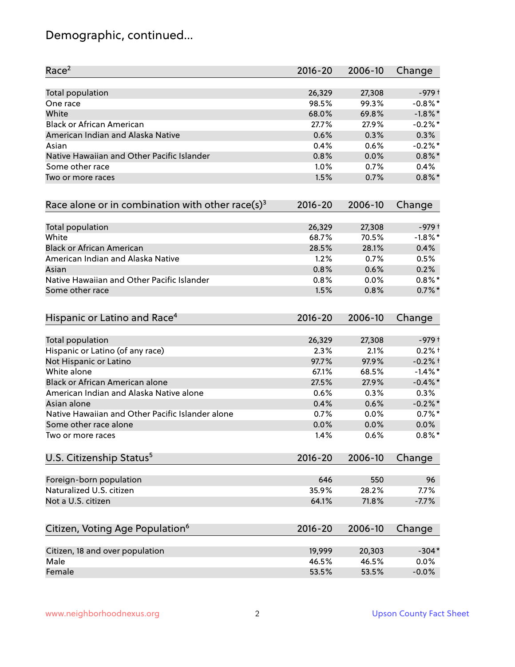# Demographic, continued...

| Race <sup>2</sup>                                            | $2016 - 20$ | 2006-10 | Change     |
|--------------------------------------------------------------|-------------|---------|------------|
| <b>Total population</b>                                      | 26,329      | 27,308  | $-979+$    |
| One race                                                     | 98.5%       | 99.3%   | $-0.8\%$ * |
| White                                                        | 68.0%       | 69.8%   | $-1.8\%$ * |
| <b>Black or African American</b>                             | 27.7%       | 27.9%   | $-0.2%$ *  |
| American Indian and Alaska Native                            | 0.6%        | 0.3%    | 0.3%       |
| Asian                                                        | 0.4%        | 0.6%    | $-0.2%$ *  |
| Native Hawaiian and Other Pacific Islander                   | 0.8%        | 0.0%    | $0.8\%$ *  |
| Some other race                                              | 1.0%        | 0.7%    | 0.4%       |
| Two or more races                                            | 1.5%        | 0.7%    | $0.8\%$ *  |
| Race alone or in combination with other race(s) <sup>3</sup> | $2016 - 20$ | 2006-10 | Change     |
| Total population                                             | 26,329      | 27,308  | $-979+$    |
| White                                                        | 68.7%       | 70.5%   | $-1.8\%$ * |
| <b>Black or African American</b>                             | 28.5%       | 28.1%   | 0.4%       |
| American Indian and Alaska Native                            | 1.2%        | 0.7%    | 0.5%       |
| Asian                                                        | 0.8%        | 0.6%    | 0.2%       |
| Native Hawaiian and Other Pacific Islander                   | 0.8%        | 0.0%    | $0.8\%$ *  |
| Some other race                                              | 1.5%        | 0.8%    | $0.7\%$ *  |
| Hispanic or Latino and Race <sup>4</sup>                     | $2016 - 20$ | 2006-10 | Change     |
| <b>Total population</b>                                      | 26,329      | 27,308  | $-979+$    |
| Hispanic or Latino (of any race)                             | 2.3%        | 2.1%    | $0.2%$ +   |
| Not Hispanic or Latino                                       | 97.7%       | 97.9%   | $-0.2%$ †  |
| White alone                                                  | 67.1%       | 68.5%   | $-1.4\%$ * |
| Black or African American alone                              | 27.5%       | 27.9%   | $-0.4\%$ * |
| American Indian and Alaska Native alone                      | 0.6%        | 0.3%    | 0.3%       |
| Asian alone                                                  | 0.4%        | 0.6%    | $-0.2%$ *  |
| Native Hawaiian and Other Pacific Islander alone             | 0.7%        | 0.0%    | $0.7\%$ *  |
| Some other race alone                                        | 0.0%        | 0.0%    | $0.0\%$    |
| Two or more races                                            | 1.4%        | 0.6%    | $0.8\%$ *  |
| U.S. Citizenship Status <sup>5</sup>                         | $2016 - 20$ | 2006-10 | Change     |
| Foreign-born population                                      | 646         | 550     | 96         |
| Naturalized U.S. citizen                                     | 35.9%       | 28.2%   | 7.7%       |
| Not a U.S. citizen                                           | 64.1%       | 71.8%   | $-7.7%$    |
| Citizen, Voting Age Population <sup>6</sup>                  | $2016 - 20$ | 2006-10 | Change     |
|                                                              |             |         |            |
| Citizen, 18 and over population                              | 19,999      | 20,303  | $-304*$    |
| Male                                                         | 46.5%       | 46.5%   | 0.0%       |
| Female                                                       | 53.5%       | 53.5%   | $-0.0%$    |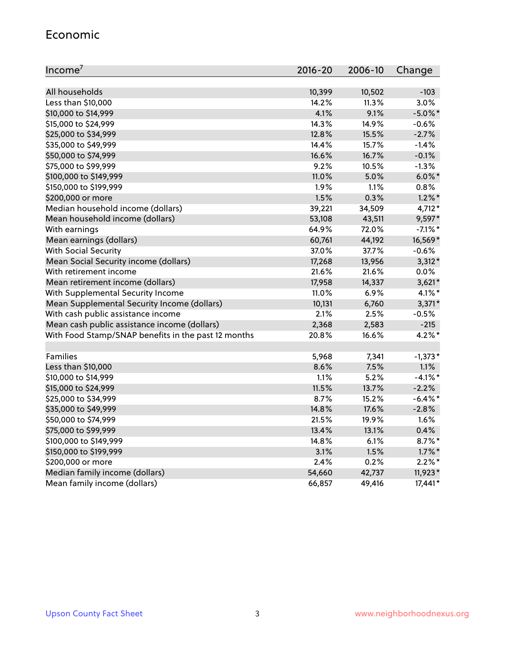#### Economic

| Income <sup>7</sup>                                 | $2016 - 20$ | 2006-10 | Change     |
|-----------------------------------------------------|-------------|---------|------------|
|                                                     |             |         |            |
| All households                                      | 10,399      | 10,502  | $-103$     |
| Less than \$10,000                                  | 14.2%       | 11.3%   | 3.0%       |
| \$10,000 to \$14,999                                | 4.1%        | 9.1%    | $-5.0\%$ * |
| \$15,000 to \$24,999                                | 14.3%       | 14.9%   | $-0.6%$    |
| \$25,000 to \$34,999                                | 12.8%       | 15.5%   | $-2.7%$    |
| \$35,000 to \$49,999                                | 14.4%       | 15.7%   | $-1.4%$    |
| \$50,000 to \$74,999                                | 16.6%       | 16.7%   | $-0.1%$    |
| \$75,000 to \$99,999                                | 9.2%        | 10.5%   | $-1.3%$    |
| \$100,000 to \$149,999                              | 11.0%       | 5.0%    | $6.0\%$ *  |
| \$150,000 to \$199,999                              | 1.9%        | 1.1%    | 0.8%       |
| \$200,000 or more                                   | 1.5%        | 0.3%    | $1.2\%$ *  |
| Median household income (dollars)                   | 39,221      | 34,509  | $4,712*$   |
| Mean household income (dollars)                     | 53,108      | 43,511  | $9,597*$   |
| With earnings                                       | 64.9%       | 72.0%   | $-7.1\%$ * |
| Mean earnings (dollars)                             | 60,761      | 44,192  | 16,569*    |
| <b>With Social Security</b>                         | 37.0%       | 37.7%   | $-0.6%$    |
| Mean Social Security income (dollars)               | 17,268      | 13,956  | $3,312*$   |
| With retirement income                              | 21.6%       | 21.6%   | 0.0%       |
| Mean retirement income (dollars)                    | 17,958      | 14,337  | $3,621*$   |
| With Supplemental Security Income                   | $11.0\%$    | 6.9%    | $4.1\%$ *  |
| Mean Supplemental Security Income (dollars)         | 10,131      | 6,760   | $3,371*$   |
| With cash public assistance income                  | 2.1%        | 2.5%    | $-0.5%$    |
| Mean cash public assistance income (dollars)        | 2,368       | 2,583   | $-215$     |
| With Food Stamp/SNAP benefits in the past 12 months | 20.8%       | 16.6%   | $4.2\%$ *  |
|                                                     |             |         |            |
| Families                                            | 5,968       | 7,341   | $-1,373*$  |
| Less than \$10,000                                  | 8.6%        | 7.5%    | 1.1%       |
| \$10,000 to \$14,999                                | 1.1%        | 5.2%    | $-4.1\%$ * |
| \$15,000 to \$24,999                                | 11.5%       | 13.7%   | $-2.2%$    |
| \$25,000 to \$34,999                                | 8.7%        | 15.2%   | $-6.4\%$ * |
| \$35,000 to \$49,999                                | 14.8%       | 17.6%   | $-2.8%$    |
| \$50,000 to \$74,999                                | 21.5%       | 19.9%   | 1.6%       |
| \$75,000 to \$99,999                                | 13.4%       | 13.1%   | 0.4%       |
| \$100,000 to \$149,999                              | 14.8%       | $6.1\%$ | $8.7\%$ *  |
| \$150,000 to \$199,999                              | 3.1%        | 1.5%    | $1.7\%$ *  |
| \$200,000 or more                                   | 2.4%        | 0.2%    | $2.2\%$ *  |
| Median family income (dollars)                      | 54,660      | 42,737  | $11,923*$  |
| Mean family income (dollars)                        | 66,857      | 49,416  | $17,441*$  |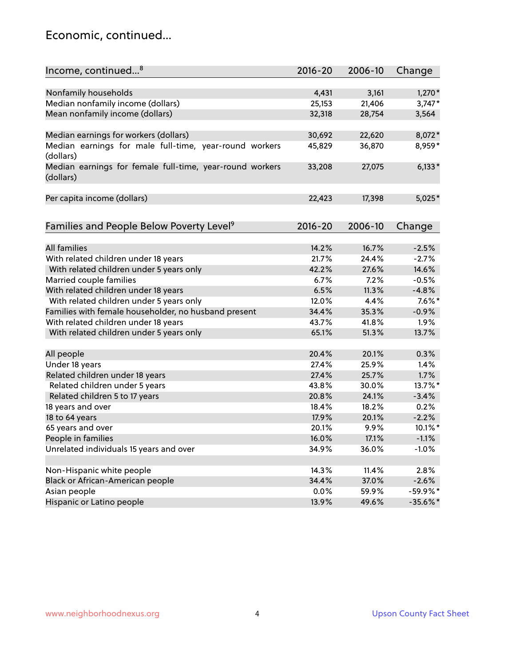#### Economic, continued...

| Nonfamily households<br>4,431<br>3,161<br>$1,270*$<br>Median nonfamily income (dollars)<br>25,153<br>21,406<br>$3,747*$<br>Mean nonfamily income (dollars)<br>32,318<br>28,754<br>3,564<br>Median earnings for workers (dollars)<br>8,072*<br>30,692<br>22,620<br>Median earnings for male full-time, year-round workers<br>36,870<br>8,959*<br>45,829<br>(dollars)<br>$6,133*$<br>Median earnings for female full-time, year-round workers<br>27,075<br>33,208<br>(dollars)<br>Per capita income (dollars)<br>22,423<br>17,398<br>$5,025*$<br>Families and People Below Poverty Level <sup>9</sup><br>$2016 - 20$<br>2006-10<br>Change<br><b>All families</b><br>14.2%<br>16.7%<br>$-2.5%$<br>With related children under 18 years<br>24.4%<br>$-2.7%$<br>21.7%<br>With related children under 5 years only<br>42.2%<br>27.6%<br>14.6%<br>6.7%<br>7.2%<br>$-0.5%$<br>Married couple families<br>With related children under 18 years<br>6.5%<br>$-4.8%$<br>11.3%<br>With related children under 5 years only<br>12.0%<br>4.4%<br>$7.6\%$ *<br>Families with female householder, no husband present<br>34.4%<br>35.3%<br>$-0.9%$<br>With related children under 18 years<br>43.7%<br>41.8%<br>1.9%<br>13.7%<br>With related children under 5 years only<br>65.1%<br>51.3%<br>20.1%<br>0.3%<br>All people<br>20.4%<br>Under 18 years<br>25.9%<br>1.4%<br>27.4% |
|---------------------------------------------------------------------------------------------------------------------------------------------------------------------------------------------------------------------------------------------------------------------------------------------------------------------------------------------------------------------------------------------------------------------------------------------------------------------------------------------------------------------------------------------------------------------------------------------------------------------------------------------------------------------------------------------------------------------------------------------------------------------------------------------------------------------------------------------------------------------------------------------------------------------------------------------------------------------------------------------------------------------------------------------------------------------------------------------------------------------------------------------------------------------------------------------------------------------------------------------------------------------------------------------------------------------------------------------------------------|
|                                                                                                                                                                                                                                                                                                                                                                                                                                                                                                                                                                                                                                                                                                                                                                                                                                                                                                                                                                                                                                                                                                                                                                                                                                                                                                                                                               |
|                                                                                                                                                                                                                                                                                                                                                                                                                                                                                                                                                                                                                                                                                                                                                                                                                                                                                                                                                                                                                                                                                                                                                                                                                                                                                                                                                               |
|                                                                                                                                                                                                                                                                                                                                                                                                                                                                                                                                                                                                                                                                                                                                                                                                                                                                                                                                                                                                                                                                                                                                                                                                                                                                                                                                                               |
|                                                                                                                                                                                                                                                                                                                                                                                                                                                                                                                                                                                                                                                                                                                                                                                                                                                                                                                                                                                                                                                                                                                                                                                                                                                                                                                                                               |
|                                                                                                                                                                                                                                                                                                                                                                                                                                                                                                                                                                                                                                                                                                                                                                                                                                                                                                                                                                                                                                                                                                                                                                                                                                                                                                                                                               |
|                                                                                                                                                                                                                                                                                                                                                                                                                                                                                                                                                                                                                                                                                                                                                                                                                                                                                                                                                                                                                                                                                                                                                                                                                                                                                                                                                               |
|                                                                                                                                                                                                                                                                                                                                                                                                                                                                                                                                                                                                                                                                                                                                                                                                                                                                                                                                                                                                                                                                                                                                                                                                                                                                                                                                                               |
|                                                                                                                                                                                                                                                                                                                                                                                                                                                                                                                                                                                                                                                                                                                                                                                                                                                                                                                                                                                                                                                                                                                                                                                                                                                                                                                                                               |
|                                                                                                                                                                                                                                                                                                                                                                                                                                                                                                                                                                                                                                                                                                                                                                                                                                                                                                                                                                                                                                                                                                                                                                                                                                                                                                                                                               |
|                                                                                                                                                                                                                                                                                                                                                                                                                                                                                                                                                                                                                                                                                                                                                                                                                                                                                                                                                                                                                                                                                                                                                                                                                                                                                                                                                               |
|                                                                                                                                                                                                                                                                                                                                                                                                                                                                                                                                                                                                                                                                                                                                                                                                                                                                                                                                                                                                                                                                                                                                                                                                                                                                                                                                                               |
|                                                                                                                                                                                                                                                                                                                                                                                                                                                                                                                                                                                                                                                                                                                                                                                                                                                                                                                                                                                                                                                                                                                                                                                                                                                                                                                                                               |
|                                                                                                                                                                                                                                                                                                                                                                                                                                                                                                                                                                                                                                                                                                                                                                                                                                                                                                                                                                                                                                                                                                                                                                                                                                                                                                                                                               |
|                                                                                                                                                                                                                                                                                                                                                                                                                                                                                                                                                                                                                                                                                                                                                                                                                                                                                                                                                                                                                                                                                                                                                                                                                                                                                                                                                               |
|                                                                                                                                                                                                                                                                                                                                                                                                                                                                                                                                                                                                                                                                                                                                                                                                                                                                                                                                                                                                                                                                                                                                                                                                                                                                                                                                                               |
|                                                                                                                                                                                                                                                                                                                                                                                                                                                                                                                                                                                                                                                                                                                                                                                                                                                                                                                                                                                                                                                                                                                                                                                                                                                                                                                                                               |
|                                                                                                                                                                                                                                                                                                                                                                                                                                                                                                                                                                                                                                                                                                                                                                                                                                                                                                                                                                                                                                                                                                                                                                                                                                                                                                                                                               |
|                                                                                                                                                                                                                                                                                                                                                                                                                                                                                                                                                                                                                                                                                                                                                                                                                                                                                                                                                                                                                                                                                                                                                                                                                                                                                                                                                               |
|                                                                                                                                                                                                                                                                                                                                                                                                                                                                                                                                                                                                                                                                                                                                                                                                                                                                                                                                                                                                                                                                                                                                                                                                                                                                                                                                                               |
|                                                                                                                                                                                                                                                                                                                                                                                                                                                                                                                                                                                                                                                                                                                                                                                                                                                                                                                                                                                                                                                                                                                                                                                                                                                                                                                                                               |
|                                                                                                                                                                                                                                                                                                                                                                                                                                                                                                                                                                                                                                                                                                                                                                                                                                                                                                                                                                                                                                                                                                                                                                                                                                                                                                                                                               |
|                                                                                                                                                                                                                                                                                                                                                                                                                                                                                                                                                                                                                                                                                                                                                                                                                                                                                                                                                                                                                                                                                                                                                                                                                                                                                                                                                               |
|                                                                                                                                                                                                                                                                                                                                                                                                                                                                                                                                                                                                                                                                                                                                                                                                                                                                                                                                                                                                                                                                                                                                                                                                                                                                                                                                                               |
| 27.4%<br>25.7%<br>1.7%                                                                                                                                                                                                                                                                                                                                                                                                                                                                                                                                                                                                                                                                                                                                                                                                                                                                                                                                                                                                                                                                                                                                                                                                                                                                                                                                        |
| Related children under 18 years<br>13.7%*                                                                                                                                                                                                                                                                                                                                                                                                                                                                                                                                                                                                                                                                                                                                                                                                                                                                                                                                                                                                                                                                                                                                                                                                                                                                                                                     |
| Related children under 5 years<br>43.8%<br>30.0%                                                                                                                                                                                                                                                                                                                                                                                                                                                                                                                                                                                                                                                                                                                                                                                                                                                                                                                                                                                                                                                                                                                                                                                                                                                                                                              |
| 24.1%<br>Related children 5 to 17 years<br>20.8%<br>$-3.4%$                                                                                                                                                                                                                                                                                                                                                                                                                                                                                                                                                                                                                                                                                                                                                                                                                                                                                                                                                                                                                                                                                                                                                                                                                                                                                                   |
| 0.2%<br>18 years and over<br>18.4%<br>18.2%                                                                                                                                                                                                                                                                                                                                                                                                                                                                                                                                                                                                                                                                                                                                                                                                                                                                                                                                                                                                                                                                                                                                                                                                                                                                                                                   |
| $-2.2%$<br>18 to 64 years<br>17.9%<br>20.1%                                                                                                                                                                                                                                                                                                                                                                                                                                                                                                                                                                                                                                                                                                                                                                                                                                                                                                                                                                                                                                                                                                                                                                                                                                                                                                                   |
| 65 years and over<br>10.1%*<br>20.1%<br>9.9%                                                                                                                                                                                                                                                                                                                                                                                                                                                                                                                                                                                                                                                                                                                                                                                                                                                                                                                                                                                                                                                                                                                                                                                                                                                                                                                  |
| People in families<br>16.0%<br>17.1%<br>$-1.1%$                                                                                                                                                                                                                                                                                                                                                                                                                                                                                                                                                                                                                                                                                                                                                                                                                                                                                                                                                                                                                                                                                                                                                                                                                                                                                                               |
| Unrelated individuals 15 years and over<br>34.9%<br>36.0%<br>$-1.0%$                                                                                                                                                                                                                                                                                                                                                                                                                                                                                                                                                                                                                                                                                                                                                                                                                                                                                                                                                                                                                                                                                                                                                                                                                                                                                          |
| Non-Hispanic white people<br>14.3%<br>11.4%<br>2.8%                                                                                                                                                                                                                                                                                                                                                                                                                                                                                                                                                                                                                                                                                                                                                                                                                                                                                                                                                                                                                                                                                                                                                                                                                                                                                                           |
| Black or African-American people<br>34.4%<br>37.0%<br>$-2.6%$                                                                                                                                                                                                                                                                                                                                                                                                                                                                                                                                                                                                                                                                                                                                                                                                                                                                                                                                                                                                                                                                                                                                                                                                                                                                                                 |
| Asian people<br>-59.9%*<br>$0.0\%$<br>59.9%                                                                                                                                                                                                                                                                                                                                                                                                                                                                                                                                                                                                                                                                                                                                                                                                                                                                                                                                                                                                                                                                                                                                                                                                                                                                                                                   |
| Hispanic or Latino people<br>13.9%<br>$-35.6%$ *<br>49.6%                                                                                                                                                                                                                                                                                                                                                                                                                                                                                                                                                                                                                                                                                                                                                                                                                                                                                                                                                                                                                                                                                                                                                                                                                                                                                                     |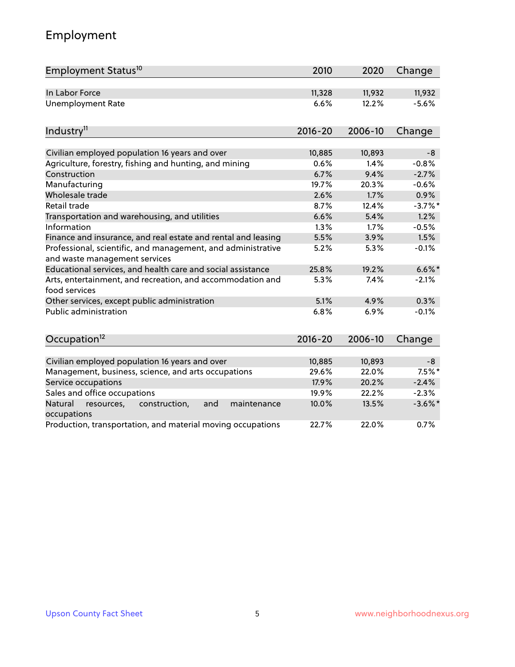# Employment

| Employment Status <sup>10</sup>                                                               | 2010        | 2020    | Change     |
|-----------------------------------------------------------------------------------------------|-------------|---------|------------|
| In Labor Force                                                                                | 11,328      | 11,932  | 11,932     |
| <b>Unemployment Rate</b>                                                                      | 6.6%        | 12.2%   | $-5.6%$    |
| Industry <sup>11</sup>                                                                        | $2016 - 20$ | 2006-10 | Change     |
|                                                                                               |             |         |            |
| Civilian employed population 16 years and over                                                | 10,885      | 10,893  | $-8$       |
| Agriculture, forestry, fishing and hunting, and mining                                        | 0.6%        | 1.4%    | $-0.8%$    |
| Construction                                                                                  | 6.7%        | 9.4%    | $-2.7%$    |
| Manufacturing                                                                                 | 19.7%       | 20.3%   | $-0.6%$    |
| Wholesale trade                                                                               | 2.6%        | 1.7%    | 0.9%       |
| Retail trade                                                                                  | 8.7%        | 12.4%   | $-3.7\%$ * |
| Transportation and warehousing, and utilities                                                 | 6.6%        | 5.4%    | 1.2%       |
| Information                                                                                   | 1.3%        | 1.7%    | $-0.5%$    |
| Finance and insurance, and real estate and rental and leasing                                 | 5.5%        | 3.9%    | 1.5%       |
| Professional, scientific, and management, and administrative<br>and waste management services | 5.2%        | 5.3%    | $-0.1%$    |
| Educational services, and health care and social assistance                                   | 25.8%       | 19.2%   | $6.6\%$ *  |
| Arts, entertainment, and recreation, and accommodation and<br>food services                   | 5.3%        | 7.4%    | $-2.1%$    |
| Other services, except public administration                                                  | 5.1%        | 4.9%    | 0.3%       |
| <b>Public administration</b>                                                                  | 6.8%        | 6.9%    | $-0.1%$    |
| Occupation <sup>12</sup>                                                                      | $2016 - 20$ | 2006-10 | Change     |
|                                                                                               |             |         |            |
| Civilian employed population 16 years and over                                                | 10,885      | 10,893  | $-8$       |
| Management, business, science, and arts occupations                                           | 29.6%       | 22.0%   | $7.5\%$ *  |
| Service occupations                                                                           | 17.9%       | 20.2%   | $-2.4%$    |
| Sales and office occupations                                                                  | 19.9%       | 22.2%   | $-2.3%$    |
| Natural<br>resources,<br>construction,<br>and<br>maintenance<br>occupations                   | 10.0%       | 13.5%   | $-3.6\%$ * |
| Production, transportation, and material moving occupations                                   | 22.7%       | 22.0%   | 0.7%       |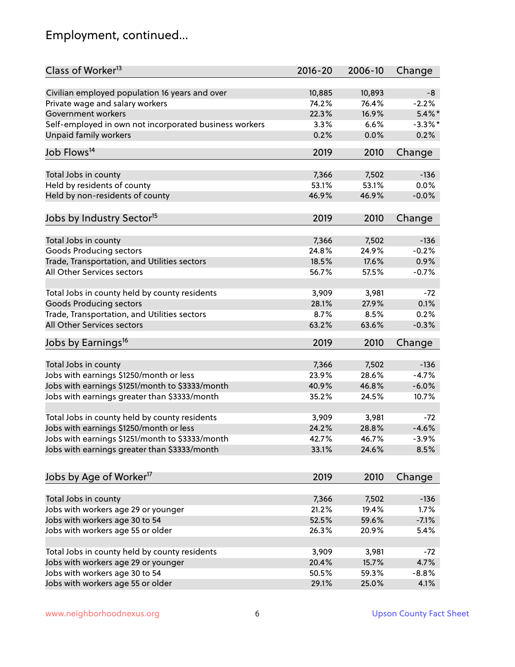# Employment, continued...

| Class of Worker <sup>13</sup>                          | $2016 - 20$ | 2006-10 | Change     |
|--------------------------------------------------------|-------------|---------|------------|
| Civilian employed population 16 years and over         | 10,885      | 10,893  | -8         |
| Private wage and salary workers                        | 74.2%       | 76.4%   | $-2.2%$    |
| Government workers                                     | 22.3%       | 16.9%   | $5.4\%$ *  |
| Self-employed in own not incorporated business workers | 3.3%        | 6.6%    | $-3.3\%$ * |
| Unpaid family workers                                  | 0.2%        | 0.0%    | 0.2%       |
| Job Flows <sup>14</sup>                                | 2019        | 2010    | Change     |
|                                                        |             |         |            |
| Total Jobs in county                                   | 7,366       | 7,502   | $-136$     |
| Held by residents of county                            | 53.1%       | 53.1%   | 0.0%       |
| Held by non-residents of county                        | 46.9%       | 46.9%   | $-0.0%$    |
| Jobs by Industry Sector <sup>15</sup>                  | 2019        | 2010    | Change     |
| Total Jobs in county                                   | 7,366       | 7,502   | $-136$     |
| Goods Producing sectors                                | 24.8%       | 24.9%   | $-0.2%$    |
| Trade, Transportation, and Utilities sectors           | 18.5%       | 17.6%   | 0.9%       |
| All Other Services sectors                             | 56.7%       | 57.5%   | $-0.7%$    |
|                                                        |             |         |            |
| Total Jobs in county held by county residents          | 3,909       | 3,981   | $-72$      |
| <b>Goods Producing sectors</b>                         | 28.1%       | 27.9%   | 0.1%       |
| Trade, Transportation, and Utilities sectors           | 8.7%        | 8.5%    | 0.2%       |
| All Other Services sectors                             | 63.2%       | 63.6%   | $-0.3%$    |
| Jobs by Earnings <sup>16</sup>                         | 2019        | 2010    | Change     |
| Total Jobs in county                                   | 7,366       | 7,502   | $-136$     |
| Jobs with earnings \$1250/month or less                | 23.9%       | 28.6%   | $-4.7%$    |
| Jobs with earnings \$1251/month to \$3333/month        | 40.9%       | 46.8%   | $-6.0%$    |
|                                                        |             |         |            |
| Jobs with earnings greater than \$3333/month           | 35.2%       | 24.5%   | 10.7%      |
| Total Jobs in county held by county residents          | 3,909       | 3,981   | -72        |
| Jobs with earnings \$1250/month or less                | 24.2%       | 28.8%   | $-4.6%$    |
| Jobs with earnings \$1251/month to \$3333/month        | 42.7%       | 46.7%   | $-3.9%$    |
| Jobs with earnings greater than \$3333/month           | 33.1%       | 24.6%   | 8.5%       |
|                                                        |             |         |            |
| Jobs by Age of Worker <sup>17</sup>                    | 2019        | 2010    | Change     |
| Total Jobs in county                                   | 7,366       | 7,502   | $-136$     |
| Jobs with workers age 29 or younger                    | 21.2%       | 19.4%   | 1.7%       |
| Jobs with workers age 30 to 54                         | 52.5%       | 59.6%   | $-7.1%$    |
| Jobs with workers age 55 or older                      | 26.3%       | 20.9%   | 5.4%       |
|                                                        |             |         |            |
| Total Jobs in county held by county residents          | 3,909       | 3,981   | $-72$      |
| Jobs with workers age 29 or younger                    | 20.4%       | 15.7%   | 4.7%       |
| Jobs with workers age 30 to 54                         | 50.5%       | 59.3%   | $-8.8%$    |
| Jobs with workers age 55 or older                      | 29.1%       | 25.0%   | 4.1%       |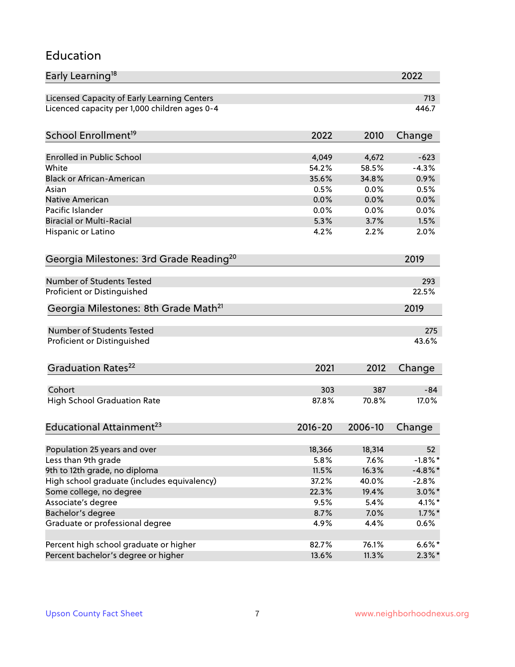#### Education

| Early Learning <sup>18</sup>                        |             |         | 2022       |
|-----------------------------------------------------|-------------|---------|------------|
| Licensed Capacity of Early Learning Centers         |             |         | 713        |
| Licenced capacity per 1,000 children ages 0-4       |             |         | 446.7      |
| School Enrollment <sup>19</sup>                     | 2022        | 2010    | Change     |
|                                                     |             |         |            |
| <b>Enrolled in Public School</b>                    | 4,049       | 4,672   | $-623$     |
| White                                               | 54.2%       | 58.5%   | $-4.3%$    |
| <b>Black or African-American</b>                    | 35.6%       | 34.8%   | 0.9%       |
| Asian                                               | 0.5%        | 0.0%    | 0.5%       |
| Native American                                     | 0.0%        | 0.0%    | 0.0%       |
| Pacific Islander                                    | 0.0%        | 0.0%    | 0.0%       |
| <b>Biracial or Multi-Racial</b>                     | 5.3%        | 3.7%    | 1.5%       |
| Hispanic or Latino                                  | 4.2%        | 2.2%    | 2.0%       |
| Georgia Milestones: 3rd Grade Reading <sup>20</sup> |             |         | 2019       |
|                                                     |             |         |            |
| <b>Number of Students Tested</b>                    |             |         | 293        |
| Proficient or Distinguished                         |             |         | 22.5%      |
| Georgia Milestones: 8th Grade Math <sup>21</sup>    |             |         | 2019       |
| <b>Number of Students Tested</b>                    |             |         | 275        |
| Proficient or Distinguished                         |             |         | 43.6%      |
|                                                     |             |         |            |
| Graduation Rates <sup>22</sup>                      | 2021        | 2012    | Change     |
| Cohort                                              | 303         | 387     | $-84$      |
| <b>High School Graduation Rate</b>                  | 87.8%       | 70.8%   | 17.0%      |
|                                                     |             |         |            |
| Educational Attainment <sup>23</sup>                | $2016 - 20$ | 2006-10 | Change     |
| Population 25 years and over                        | 18,366      | 18,314  | 52         |
| Less than 9th grade                                 | 5.8%        | 7.6%    | $-1.8\%$ * |
| 9th to 12th grade, no diploma                       | 11.5%       | 16.3%   | $-4.8\%$ * |
| High school graduate (includes equivalency)         | 37.2%       | 40.0%   | $-2.8%$    |
| Some college, no degree                             | 22.3%       | 19.4%   | $3.0\%$ *  |
| Associate's degree                                  | 9.5%        | 5.4%    | $4.1\%$ *  |
| Bachelor's degree                                   | 8.7%        | 7.0%    | $1.7\%$ *  |
| Graduate or professional degree                     | 4.9%        | 4.4%    | 0.6%       |
|                                                     |             |         |            |
| Percent high school graduate or higher              | 82.7%       | 76.1%   | $6.6\%*$   |
| Percent bachelor's degree or higher                 | 13.6%       | 11.3%   | $2.3\%$ *  |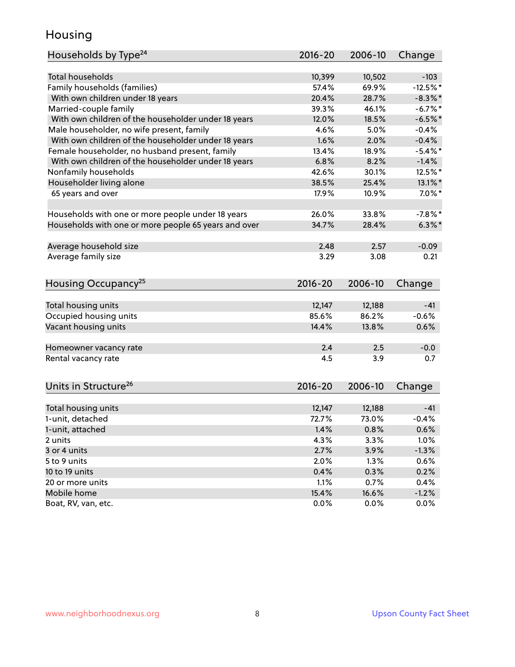#### Housing

| Households by Type <sup>24</sup>                     | 2016-20     | 2006-10 | Change     |
|------------------------------------------------------|-------------|---------|------------|
|                                                      |             |         |            |
| <b>Total households</b>                              | 10,399      | 10,502  | $-103$     |
| Family households (families)                         | 57.4%       | 69.9%   | $-12.5%$   |
| With own children under 18 years                     | 20.4%       | 28.7%   | $-8.3\%$ * |
| Married-couple family                                | 39.3%       | 46.1%   | $-6.7%$    |
| With own children of the householder under 18 years  | 12.0%       | 18.5%   | $-6.5%$ *  |
| Male householder, no wife present, family            | 4.6%        | 5.0%    | $-0.4%$    |
| With own children of the householder under 18 years  | 1.6%        | 2.0%    | $-0.4%$    |
| Female householder, no husband present, family       | 13.4%       | 18.9%   | $-5.4\%$ * |
| With own children of the householder under 18 years  | 6.8%        | 8.2%    | $-1.4%$    |
| Nonfamily households                                 | 42.6%       | 30.1%   | 12.5%*     |
| Householder living alone                             | 38.5%       | 25.4%   | 13.1%*     |
| 65 years and over                                    | 17.9%       | 10.9%   | $7.0\%$ *  |
|                                                      |             |         |            |
| Households with one or more people under 18 years    | 26.0%       | 33.8%   | $-7.8\%$ * |
| Households with one or more people 65 years and over | 34.7%       | 28.4%   | $6.3\%$ *  |
| Average household size                               | 2.48        | 2.57    | $-0.09$    |
| Average family size                                  | 3.29        | 3.08    | 0.21       |
|                                                      |             |         |            |
| Housing Occupancy <sup>25</sup>                      | $2016 - 20$ | 2006-10 | Change     |
|                                                      |             |         |            |
| Total housing units                                  | 12,147      | 12,188  | $-41$      |
| Occupied housing units                               | 85.6%       | 86.2%   | $-0.6%$    |
| Vacant housing units                                 | 14.4%       | 13.8%   | 0.6%       |
| Homeowner vacancy rate                               | 2.4         | 2.5     | $-0.0$     |
| Rental vacancy rate                                  | 4.5         | 3.9     | 0.7        |
|                                                      |             |         |            |
| Units in Structure <sup>26</sup>                     | $2016 - 20$ | 2006-10 | Change     |
|                                                      |             |         |            |
| Total housing units                                  | 12,147      | 12,188  | $-41$      |
| 1-unit, detached                                     | 72.7%       | 73.0%   | $-0.4%$    |
| 1-unit, attached                                     | 1.4%        | 0.8%    | 0.6%       |
| 2 units                                              | 4.3%        | 3.3%    | 1.0%       |
| 3 or 4 units                                         | 2.7%        | 3.9%    | $-1.3%$    |
| 5 to 9 units                                         | 2.0%        | 1.3%    | 0.6%       |
| 10 to 19 units                                       | 0.4%        | 0.3%    | 0.2%       |
| 20 or more units                                     | 1.1%        | 0.7%    | 0.4%       |
| Mobile home                                          | 15.4%       | 16.6%   | $-1.2%$    |
| Boat, RV, van, etc.                                  | 0.0%        | 0.0%    | 0.0%       |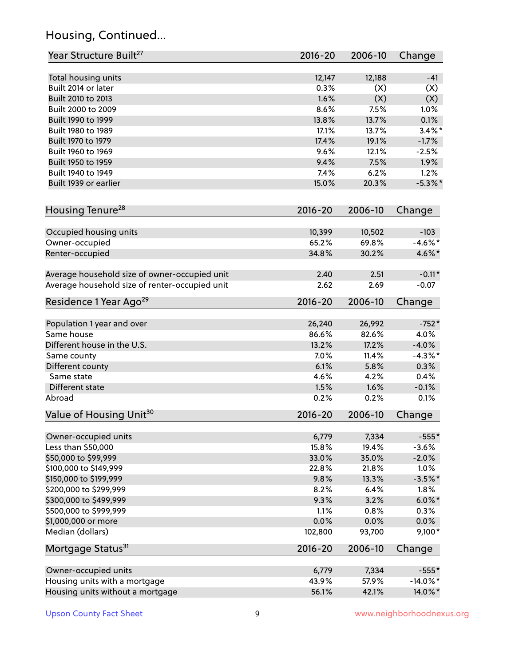# Housing, Continued...

| Year Structure Built <sup>27</sup>             | 2016-20         | 2006-10         | Change      |
|------------------------------------------------|-----------------|-----------------|-------------|
| Total housing units                            | 12,147          | 12,188          | $-41$       |
| Built 2014 or later                            | 0.3%            | (X)             | (X)         |
| Built 2010 to 2013                             | 1.6%            | (X)             | (X)         |
| Built 2000 to 2009                             | 8.6%            | 7.5%            | 1.0%        |
| Built 1990 to 1999                             | 13.8%           | 13.7%           | 0.1%        |
| Built 1980 to 1989                             | 17.1%           | 13.7%           | $3.4\%$ *   |
| Built 1970 to 1979                             | 17.4%           | 19.1%           | $-1.7%$     |
| Built 1960 to 1969                             | 9.6%            | 12.1%           | $-2.5%$     |
| Built 1950 to 1959                             | 9.4%            | 7.5%            | 1.9%        |
| Built 1940 to 1949                             | 7.4%            | 6.2%            | 1.2%        |
| Built 1939 or earlier                          | 15.0%           | 20.3%           | $-5.3\%$ *  |
|                                                |                 |                 |             |
| Housing Tenure <sup>28</sup>                   | $2016 - 20$     | 2006-10         | Change      |
| Occupied housing units                         | 10,399          | 10,502          | $-103$      |
| Owner-occupied                                 | 65.2%           | 69.8%           | $-4.6\%$ *  |
| Renter-occupied                                | 34.8%           | 30.2%           | 4.6%*       |
|                                                |                 |                 |             |
| Average household size of owner-occupied unit  | 2.40            | 2.51            | $-0.11*$    |
| Average household size of renter-occupied unit | 2.62            | 2.69            | $-0.07$     |
| Residence 1 Year Ago <sup>29</sup>             | $2016 - 20$     | 2006-10         | Change      |
|                                                |                 |                 |             |
| Population 1 year and over<br>Same house       | 26,240<br>86.6% | 26,992<br>82.6% | $-752*$     |
|                                                |                 |                 | 4.0%        |
| Different house in the U.S.                    | 13.2%           | 17.2%           | $-4.0%$     |
| Same county                                    | 7.0%            | 11.4%           | $-4.3\%$ *  |
| Different county                               | 6.1%            | 5.8%            | 0.3%        |
| Same state                                     | 4.6%            | 4.2%            | 0.4%        |
| Different state                                | 1.5%            | 1.6%            | $-0.1%$     |
| Abroad                                         | 0.2%            | 0.2%            | 0.1%        |
| Value of Housing Unit <sup>30</sup>            | $2016 - 20$     | 2006-10         | Change      |
| Owner-occupied units                           | 6,779           | 7,334           | $-555*$     |
| Less than \$50,000                             | 15.8%           | 19.4%           | $-3.6%$     |
| \$50,000 to \$99,999                           | 33.0%           | 35.0%           | $-2.0%$     |
| \$100,000 to \$149,999                         | 22.8%           | 21.8%           | 1.0%        |
| \$150,000 to \$199,999                         | 9.8%            | 13.3%           | $-3.5%$ *   |
| \$200,000 to \$299,999                         | 8.2%            | 6.4%            | 1.8%        |
| \$300,000 to \$499,999                         | 9.3%            | 3.2%            | $6.0\%$ *   |
| \$500,000 to \$999,999                         | 1.1%            | 0.8%            | 0.3%        |
| \$1,000,000 or more                            | 0.0%            | 0.0%            | 0.0%        |
| Median (dollars)                               | 102,800         | 93,700          | 9,100*      |
| Mortgage Status <sup>31</sup>                  | $2016 - 20$     | 2006-10         | Change      |
|                                                |                 |                 |             |
| Owner-occupied units                           | 6,779           | 7,334           | $-555*$     |
| Housing units with a mortgage                  | 43.9%           | 57.9%           | $-14.0\%$ * |
| Housing units without a mortgage               | 56.1%           | 42.1%           | 14.0%*      |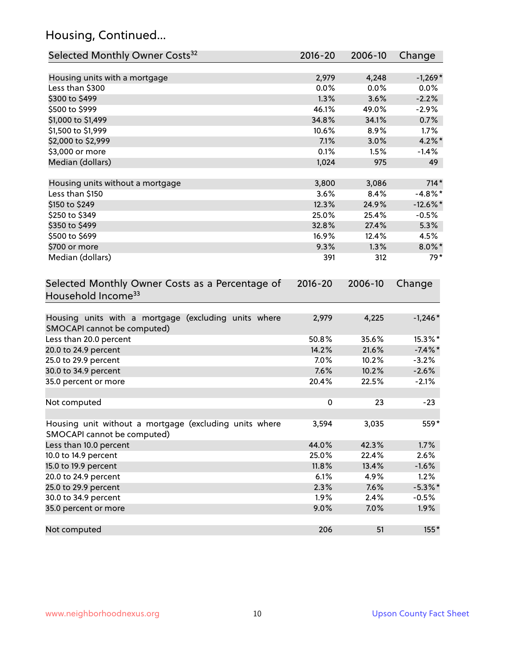# Housing, Continued...

| Selected Monthly Owner Costs <sup>32</sup>                                            | 2016-20     | 2006-10 | Change      |
|---------------------------------------------------------------------------------------|-------------|---------|-------------|
| Housing units with a mortgage                                                         | 2,979       | 4,248   | $-1,269*$   |
| Less than \$300                                                                       | 0.0%        | 0.0%    | 0.0%        |
| \$300 to \$499                                                                        | 1.3%        | 3.6%    | $-2.2%$     |
| \$500 to \$999                                                                        | 46.1%       | 49.0%   | $-2.9%$     |
| \$1,000 to \$1,499                                                                    | 34.8%       | 34.1%   | 0.7%        |
| \$1,500 to \$1,999                                                                    | 10.6%       | 8.9%    | 1.7%        |
| \$2,000 to \$2,999                                                                    | 7.1%        | 3.0%    | $4.2\%$ *   |
| \$3,000 or more                                                                       | 0.1%        | 1.5%    | $-1.4%$     |
| Median (dollars)                                                                      | 1,024       | 975     | 49          |
|                                                                                       |             |         |             |
| Housing units without a mortgage                                                      | 3,800       | 3,086   | $714*$      |
| Less than \$150                                                                       | 3.6%        | 8.4%    | $-4.8\%$ *  |
| \$150 to \$249                                                                        | 12.3%       | 24.9%   | $-12.6\%$ * |
| \$250 to \$349                                                                        | 25.0%       | 25.4%   | $-0.5%$     |
| \$350 to \$499                                                                        | 32.8%       | 27.4%   | 5.3%        |
| \$500 to \$699                                                                        | 16.9%       | 12.4%   | 4.5%        |
| \$700 or more                                                                         | 9.3%        | 1.3%    | $8.0\%$ *   |
| Median (dollars)                                                                      | 391         | 312     | $79*$       |
| Selected Monthly Owner Costs as a Percentage of<br>Household Income <sup>33</sup>     | $2016 - 20$ | 2006-10 | Change      |
| Housing units with a mortgage (excluding units where<br>SMOCAPI cannot be computed)   | 2,979       | 4,225   | $-1,246*$   |
| Less than 20.0 percent                                                                | 50.8%       | 35.6%   | 15.3%*      |
| 20.0 to 24.9 percent                                                                  | 14.2%       | 21.6%   | $-7.4\%$ *  |
| 25.0 to 29.9 percent                                                                  | 7.0%        | 10.2%   | $-3.2%$     |
| 30.0 to 34.9 percent                                                                  | 7.6%        | 10.2%   | $-2.6%$     |
| 35.0 percent or more                                                                  | 20.4%       | 22.5%   | $-2.1%$     |
| Not computed                                                                          | $\pmb{0}$   | 23      | $-23$       |
| Housing unit without a mortgage (excluding units where<br>SMOCAPI cannot be computed) | 3,594       | 3,035   | $559*$      |
| Less than 10.0 percent                                                                | 44.0%       | 42.3%   | 1.7%        |
| 10.0 to 14.9 percent                                                                  | 25.0%       | 22.4%   | 2.6%        |
| 15.0 to 19.9 percent                                                                  | 11.8%       | 13.4%   | $-1.6%$     |
| 20.0 to 24.9 percent                                                                  | 6.1%        | 4.9%    | 1.2%        |
| 25.0 to 29.9 percent                                                                  | 2.3%        | 7.6%    | $-5.3\%$ *  |
| 30.0 to 34.9 percent                                                                  | 1.9%        | 2.4%    | $-0.5%$     |
| 35.0 percent or more                                                                  | 9.0%        | 7.0%    | 1.9%        |
| Not computed                                                                          | 206         | 51      | 155*        |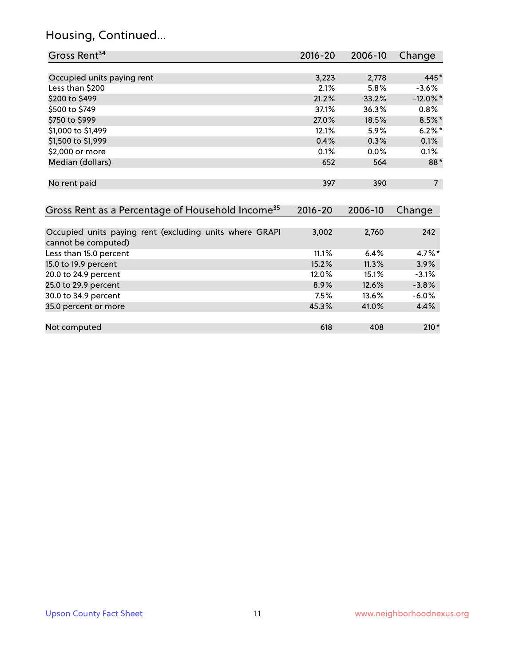# Housing, Continued...

| Gross Rent <sup>34</sup>                                                       | 2016-20     | 2006-10 | Change         |
|--------------------------------------------------------------------------------|-------------|---------|----------------|
|                                                                                |             |         |                |
| Occupied units paying rent                                                     | 3,223       | 2,778   | 445*           |
| Less than \$200                                                                | 2.1%        | 5.8%    | $-3.6%$        |
| \$200 to \$499                                                                 | 21.2%       | 33.2%   | $-12.0\%$ *    |
| \$500 to \$749                                                                 | 37.1%       | 36.3%   | $0.8\%$        |
| \$750 to \$999                                                                 | 27.0%       | 18.5%   | $8.5\%$ *      |
| \$1,000 to \$1,499                                                             | 12.1%       | 5.9%    | $6.2\%$ *      |
| \$1,500 to \$1,999                                                             | 0.4%        | 0.3%    | 0.1%           |
| \$2,000 or more                                                                | 0.1%        | 0.0%    | 0.1%           |
| Median (dollars)                                                               | 652         | 564     | 88*            |
| No rent paid                                                                   | 397         | 390     | $\overline{7}$ |
| Gross Rent as a Percentage of Household Income <sup>35</sup>                   | $2016 - 20$ | 2006-10 | Change         |
| Occupied units paying rent (excluding units where GRAPI<br>cannot be computed) | 3,002       | 2,760   | 242            |
| Less than 15.0 percent                                                         | 11.1%       | 6.4%    | 4.7%*          |
| 15.0 to 19.9 percent                                                           | 15.2%       | 11.3%   | 3.9%           |
| 20.0 to 24.9 percent                                                           | 12.0%       | 15.1%   | $-3.1%$        |
| 25.0 to 29.9 percent                                                           | 8.9%        | 12.6%   | $-3.8%$        |
| 30.0 to 34.9 percent                                                           | 7.5%        | 13.6%   | $-6.0%$        |
| 35.0 percent or more                                                           | 45.3%       | 41.0%   | 4.4%           |
| Not computed                                                                   | 618         | 408     | $210*$         |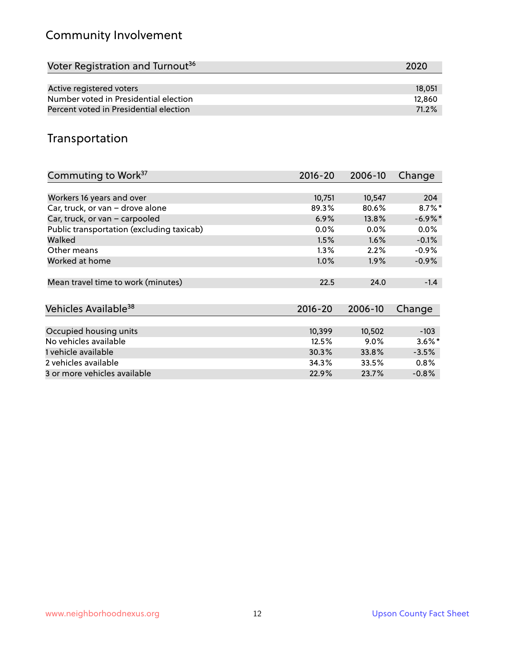# Community Involvement

| Voter Registration and Turnout <sup>36</sup> | 2020   |
|----------------------------------------------|--------|
|                                              |        |
| Active registered voters                     | 18,051 |
| Number voted in Presidential election        | 12,860 |
| Percent voted in Presidential election       | 71.2%  |

#### Transportation

| Commuting to Work <sup>37</sup>           | $2016 - 20$ | 2006-10 | Change     |
|-------------------------------------------|-------------|---------|------------|
|                                           |             |         |            |
| Workers 16 years and over                 | 10,751      | 10,547  | 204        |
| Car, truck, or van - drove alone          | 89.3%       | 80.6%   | $8.7\%$ *  |
| Car, truck, or van - carpooled            | 6.9%        | 13.8%   | $-6.9\%$ * |
| Public transportation (excluding taxicab) | $0.0\%$     | $0.0\%$ | $0.0\%$    |
| Walked                                    | 1.5%        | $1.6\%$ | $-0.1%$    |
| Other means                               | $1.3\%$     | 2.2%    | $-0.9%$    |
| Worked at home                            | $1.0\%$     | $1.9\%$ | $-0.9%$    |
|                                           |             |         |            |
| Mean travel time to work (minutes)        | 22.5        | 24.0    | $-1.4$     |
|                                           |             |         |            |
| Vehicles Available <sup>38</sup>          | $2016 - 20$ | 2006-10 | Change     |
|                                           |             |         |            |
| Occupied housing units                    | 10,399      | 10,502  | $-103$     |
| No vehicles available                     | 12.5%       | $9.0\%$ | $3.6\%$ *  |
| 1 vehicle available                       | 30.3%       | 33.8%   | $-3.5%$    |
| 2 vehicles available                      | 34.3%       | 33.5%   | $0.8\%$    |
| 3 or more vehicles available              | 22.9%       | 23.7%   | $-0.8%$    |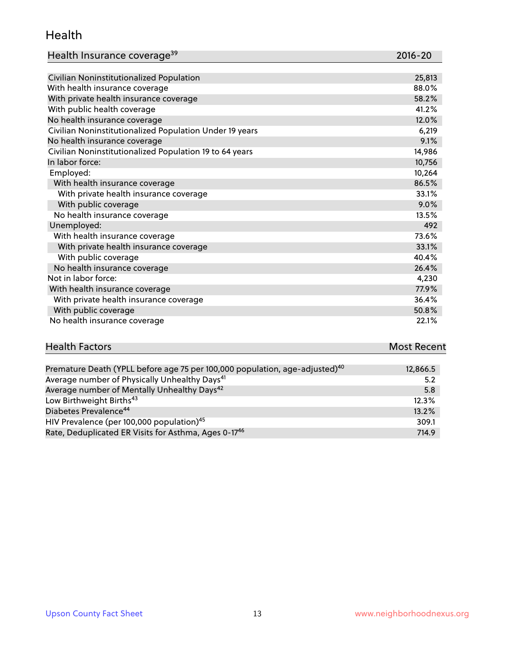#### Health

| Health Insurance coverage <sup>39</sup> | 2016-20 |
|-----------------------------------------|---------|
|-----------------------------------------|---------|

| Civilian Noninstitutionalized Population                | 25,813 |
|---------------------------------------------------------|--------|
| With health insurance coverage                          | 88.0%  |
| With private health insurance coverage                  | 58.2%  |
| With public health coverage                             | 41.2%  |
| No health insurance coverage                            | 12.0%  |
| Civilian Noninstitutionalized Population Under 19 years | 6,219  |
| No health insurance coverage                            | 9.1%   |
| Civilian Noninstitutionalized Population 19 to 64 years | 14,986 |
| In labor force:                                         | 10,756 |
| Employed:                                               | 10,264 |
| With health insurance coverage                          | 86.5%  |
| With private health insurance coverage                  | 33.1%  |
| With public coverage                                    | 9.0%   |
| No health insurance coverage                            | 13.5%  |
| Unemployed:                                             | 492    |
| With health insurance coverage                          | 73.6%  |
| With private health insurance coverage                  | 33.1%  |
| With public coverage                                    | 40.4%  |
| No health insurance coverage                            | 26.4%  |
| Not in labor force:                                     | 4,230  |
| With health insurance coverage                          | 77.9%  |
| With private health insurance coverage                  | 36.4%  |
| With public coverage                                    | 50.8%  |
| No health insurance coverage                            | 22.1%  |

#### Health Factors **Most Recent** Premature Death (YPLL before age 75 per 100,000 population, age-adjusted)<sup>40</sup> 12,866.5

| Premature Death (YPLL before age 75 per 100,000 population, age-adjusted) <sup>10</sup> | 12,866.5 |
|-----------------------------------------------------------------------------------------|----------|
| Average number of Physically Unhealthy Days <sup>41</sup>                               | 5.2      |
| Average number of Mentally Unhealthy Days <sup>42</sup>                                 | 5.8      |
| Low Birthweight Births <sup>43</sup>                                                    | 12.3%    |
| Diabetes Prevalence <sup>44</sup>                                                       | 13.2%    |
| HIV Prevalence (per 100,000 population) <sup>45</sup>                                   | 309.1    |
| Rate, Deduplicated ER Visits for Asthma, Ages 0-17 <sup>46</sup>                        | 714.9    |